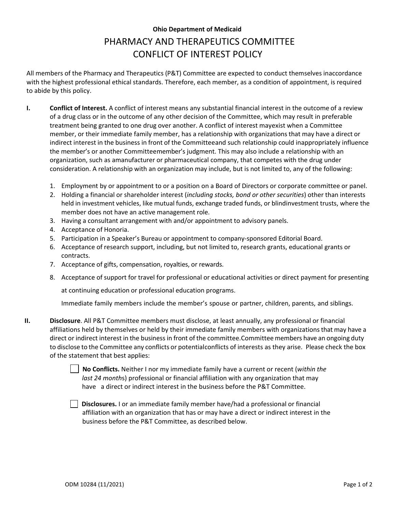## **Ohio Department of Medicaid** PHARMACY AND THERAPEUTICS COMMITTEE CONFLICT OF INTEREST POLICY

All members of the Pharmacy and Therapeutics (P&T) Committee are expected to conduct themselves inaccordance with the highest professional ethical standards. Therefore, each member, as a condition of appointment, is required to abide by this policy.

- **I. Conflict of Interest.** A conflict of interest means any substantial financial interest in the outcome of a review of a drug class or in the outcome of any other decision of the Committee, which may result in preferable treatment being granted to one drug over another. A conflict of interest mayexist when a Committee member, or their immediate family member, has a relationship with organizations that may have a direct or indirect interest in the business in front of the Committeeand such relationship could inappropriately influence the member's or another Committeemember's judgment. This may also include a relationship with an organization, such as a manufacturer or pharmaceutical company, that competes with the drug under consideration. A relationship with an organization may include, but is not limited to, any of the following:
	- 1. Employment by or appointment to or a position on a Board of Directors or corporate committee or panel.
	- 2. Holding a financial or shareholder interest (*including stocks, bond or other securities*) other than interests held in investment vehicles, like mutual funds, exchange traded funds, or blindinvestment trusts, where the member does not have an active management role.
	- 3. Having a consultant arrangement with and/or appointment to advisory panels.
	- 4. Acceptance of Honoria.
	- 5. Participation in a Speaker's Bureau or appointment to company-sponsored Editorial Board.
	- 6. Acceptance of research support, including, but not limited to, research grants, educational grants or contracts.
	- 7. Acceptance of gifts, compensation, royalties, or rewards.
	- 8. Acceptance of support for travel for professional or educational activities or direct payment for presenting

at continuing education or professional education programs.

Immediate family members include the member's spouse or partner, children, parents, and siblings.

**II. Disclosure**. All P&T Committee members must disclose, at least annually, any professional or financial affiliations held by themselves or held by their immediate family members with organizations that may have a direct or indirect interest in the business in front of the committee.Committee members have an ongoing duty to disclose to the Committee any conflicts or potentialconflicts of interests as they arise. Please check the box of the statement that best applies:

> **No Conflicts.** Neither I nor my immediate family have a current or recent (*within the last 24 month*s) professional or financial affiliation with any organization that may have a direct or indirect interest in the business before the P&T Committee.

**Disclosures.** I or an immediate family member have/had a professional or financial affiliation with an organization that has or may have a direct or indirect interest in the business before the P&T Committee, as described below.